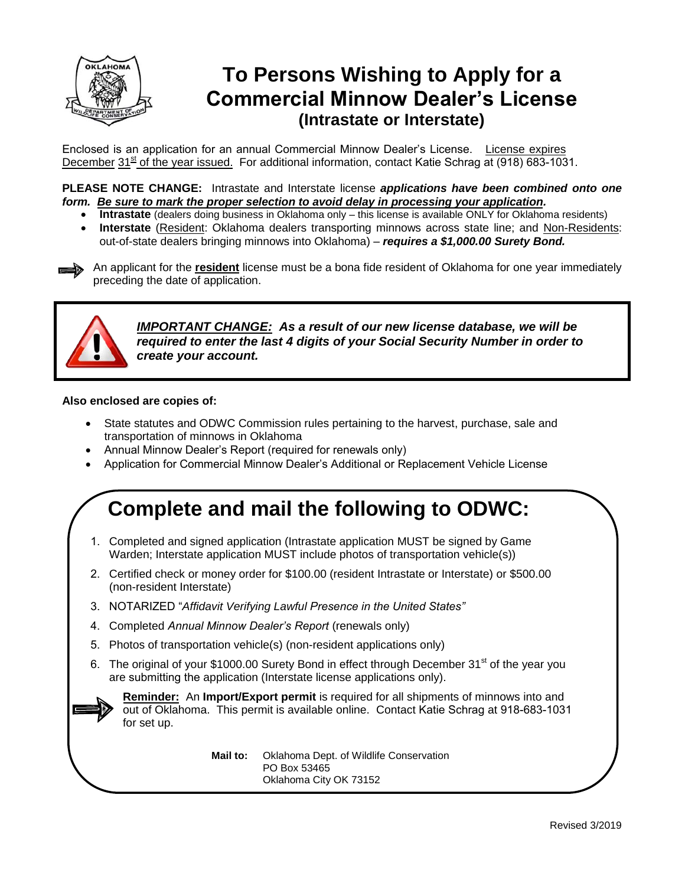

### **To Persons Wishing to Apply for a Commercial Minnow Dealer's License (Intrastate or Interstate)**

Enclosed is an application for an annual Commercial Minnow Dealer's License. License expires December  $31<sup>st</sup>$  of the year issued. For additional information, contact Katie Schrag at (918) 683-1031.

**PLEASE NOTE CHANGE:** Intrastate and Interstate license *applications have been combined onto one form. Be sure to mark the proper selection to avoid delay in processing your application.* 

- **Intrastate** (dealers doing business in Oklahoma only this license is available ONLY for Oklahoma residents)
- **Interstate** (Resident: Oklahoma dealers transporting minnows across state line; and Non-Residents: out-of-state dealers bringing minnows into Oklahoma) - *requires a \$1,000.00 Surety Bond.*

An applicant for the **resident** license must be a bona fide resident of Oklahoma for one year immediately preceding the date of application.



*IMPORTANT CHANGE: As a result of our new license database, we will be required to enter the last 4 digits of your Social Security Number in order to create your account.* 

#### **Also enclosed are copies of:**

- State statutes and ODWC Commission rules pertaining to the harvest, purchase, sale and transportation of minnows in Oklahoma
- Annual Minnow Dealer's Report (required for renewals only)
- Application for Commercial Minnow Dealer's Additional or Replacement Vehicle License

### **Complete and mail the following to ODWC:**

- 1. Completed and signed application (Intrastate application MUST be signed by Game Warden; Interstate application MUST include photos of transportation vehicle(s))
- 2. Certified check or money order for \$100.00 (resident Intrastate or Interstate) or \$500.00 (non-resident Interstate)
- 3. NOTARIZED "Affidavit Verifying Lawful Presence in the United States"
- 4. Completed *Annual Minnow Dealer's Report* (renewals only)
- 5. Photos of transportation vehicle(s) (non-resident applications only)
- 6. The original of your \$1000.00 Surety Bond in effect through December 31<sup>st</sup> of the year you are submitting the application (Interstate license applications only).



**Reminder:** An **Import/Export permit** is required for all shipments of minnows into and out of Oklahoma. This permit is available online. Contact Katie Schrag at 918-683-1031 for set up.

> **Mail to:** Oklahoma Dept. of Wildlife Conservation PO Box 53465 Oklahoma City OK 73152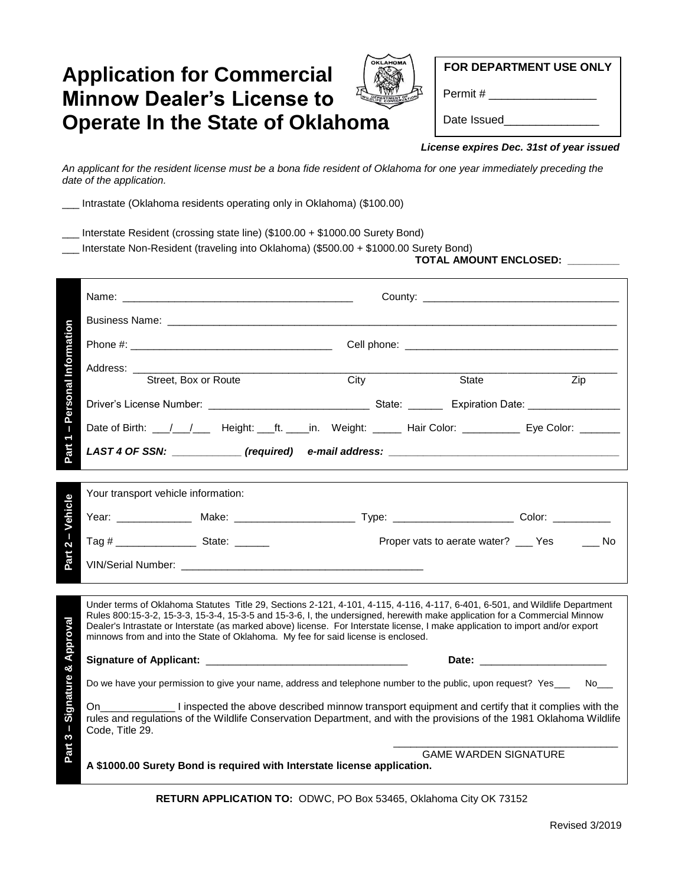### **Application for Commercial Minnow Dealer's License to Operate In the State of Oklahoma**



**FOR DEPARTMENT USE ONLY**

Permit #

Date Issued\_

#### *License expires Dec. 31st of year issued*

*An applicant for the resident license must be a bona fide resident of Oklahoma for one year immediately preceding the date of the application.*

\_\_\_ Intrastate (Oklahoma residents operating only in Oklahoma) (\$100.00)

\_\_\_ Interstate Resident (crossing state line) (\$100.00 + \$1000.00 Surety Bond)

\_\_\_ Interstate Non-Resident (traveling into Oklahoma) (\$500.00 + \$1000.00 Surety Bond)

**TOTAL AMOUNT ENCLOSED: \_\_\_\_\_\_\_\_\_** 

| <b>Personal Information</b>                                                                                                                                                                                                                                                                                                                                                      | Address: <u>Street, Box or Route</u> City<br>State<br>Zip                                                                                                                                                                                                                                                                                                                                                                                                                          |  |  |  |  |  |  |
|----------------------------------------------------------------------------------------------------------------------------------------------------------------------------------------------------------------------------------------------------------------------------------------------------------------------------------------------------------------------------------|------------------------------------------------------------------------------------------------------------------------------------------------------------------------------------------------------------------------------------------------------------------------------------------------------------------------------------------------------------------------------------------------------------------------------------------------------------------------------------|--|--|--|--|--|--|
|                                                                                                                                                                                                                                                                                                                                                                                  |                                                                                                                                                                                                                                                                                                                                                                                                                                                                                    |  |  |  |  |  |  |
| $\begin{array}{c} \rule{0pt}{2.5ex} \rule{0pt}{2.5ex} \rule{0pt}{2.5ex} \rule{0pt}{2.5ex} \rule{0pt}{2.5ex} \rule{0pt}{2.5ex} \rule{0pt}{2.5ex} \rule{0pt}{2.5ex} \rule{0pt}{2.5ex} \rule{0pt}{2.5ex} \rule{0pt}{2.5ex} \rule{0pt}{2.5ex} \rule{0pt}{2.5ex} \rule{0pt}{2.5ex} \rule{0pt}{2.5ex} \rule{0pt}{2.5ex} \rule{0pt}{2.5ex} \rule{0pt}{2.5ex} \rule{0pt}{2.5ex} \rule{0$ | Date of Birth: \[\[\] \] \] Height: \[\] ft. \[\] in. Weight: \[\] Hair Color: \] _________________ Eye Color: \]                                                                                                                                                                                                                                                                                                                                                                  |  |  |  |  |  |  |
| Part 1                                                                                                                                                                                                                                                                                                                                                                           | LAST 4 OF SSN: ___________(required) e-mail address: ___________________________                                                                                                                                                                                                                                                                                                                                                                                                   |  |  |  |  |  |  |
|                                                                                                                                                                                                                                                                                                                                                                                  |                                                                                                                                                                                                                                                                                                                                                                                                                                                                                    |  |  |  |  |  |  |
|                                                                                                                                                                                                                                                                                                                                                                                  | Your transport vehicle information:                                                                                                                                                                                                                                                                                                                                                                                                                                                |  |  |  |  |  |  |
| Part 2 - Vehicle                                                                                                                                                                                                                                                                                                                                                                 |                                                                                                                                                                                                                                                                                                                                                                                                                                                                                    |  |  |  |  |  |  |
|                                                                                                                                                                                                                                                                                                                                                                                  | Proper vats to aerate water? __ Yes __ No                                                                                                                                                                                                                                                                                                                                                                                                                                          |  |  |  |  |  |  |
|                                                                                                                                                                                                                                                                                                                                                                                  |                                                                                                                                                                                                                                                                                                                                                                                                                                                                                    |  |  |  |  |  |  |
|                                                                                                                                                                                                                                                                                                                                                                                  |                                                                                                                                                                                                                                                                                                                                                                                                                                                                                    |  |  |  |  |  |  |
| Approval                                                                                                                                                                                                                                                                                                                                                                         | Under terms of Oklahoma Statutes Title 29, Sections 2-121, 4-101, 4-115, 4-116, 4-117, 6-401, 6-501, and Wildlife Department<br>Rules 800:15-3-2, 15-3-3, 15-3-4, 15-3-5 and 15-3-6, I, the undersigned, herewith make application for a Commercial Minnow<br>Dealer's Intrastate or Interstate (as marked above) license. For Interstate license, I make application to import and/or export<br>minnows from and into the State of Oklahoma. My fee for said license is enclosed. |  |  |  |  |  |  |
| ×                                                                                                                                                                                                                                                                                                                                                                                | Date: _________________________                                                                                                                                                                                                                                                                                                                                                                                                                                                    |  |  |  |  |  |  |
|                                                                                                                                                                                                                                                                                                                                                                                  | Do we have your permission to give your name, address and telephone number to the public, upon request? Yes___ No__                                                                                                                                                                                                                                                                                                                                                                |  |  |  |  |  |  |
| Signature<br>П<br>$\mathbf{\hat{z}}$                                                                                                                                                                                                                                                                                                                                             | On ____________________ I inspected the above described minnow transport equipment and certify that it complies with the<br>rules and regulations of the Wildlife Conservation Department, and with the provisions of the 1981 Oklahoma Wildlife<br>Code, Title 29.                                                                                                                                                                                                                |  |  |  |  |  |  |
| Part                                                                                                                                                                                                                                                                                                                                                                             | <b>GAME WARDEN SIGNATURE</b>                                                                                                                                                                                                                                                                                                                                                                                                                                                       |  |  |  |  |  |  |
|                                                                                                                                                                                                                                                                                                                                                                                  | A \$1000.00 Surety Bond is required with Interstate license application.                                                                                                                                                                                                                                                                                                                                                                                                           |  |  |  |  |  |  |

**RETURN APPLICATION TO:** ODWC, PO Box 53465, Oklahoma City OK 73152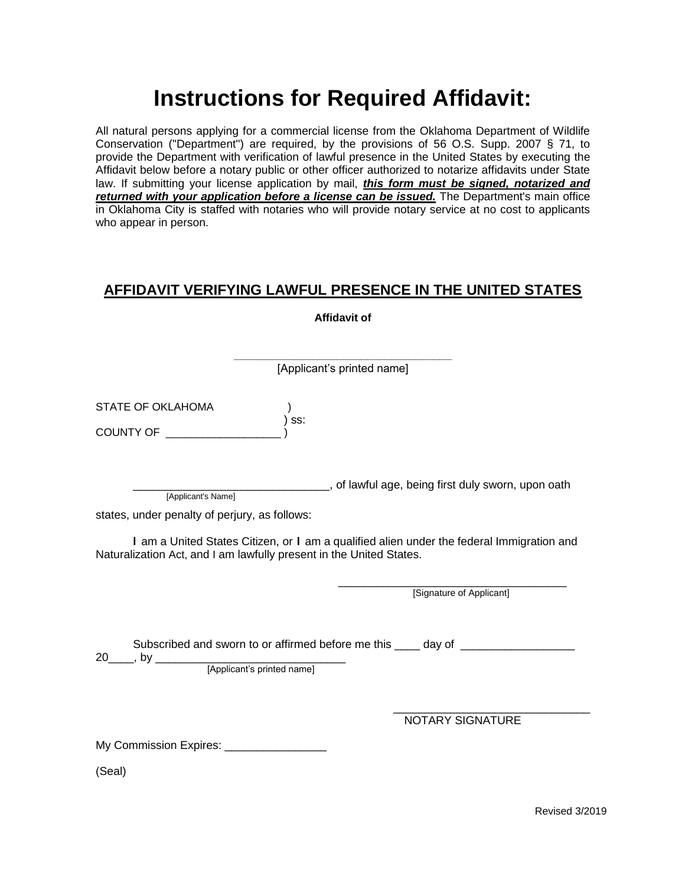# **Instructions for Required Affidavit:**

All natural persons applying for a commercial license from the Oklahoma Department of Wildlife Conservation ("Department") are required, by the provisions of 56 O.S. Supp. 2007 § 71, to provide the Department with verification of lawful presence in the United States by executing the Affidavit below before a notary public or other officer authorized to notarize affidavits under State law. If submitting your license application by mail, *this form must be signed, notarized and returned with your application before a license can be issued.* The Department's main office in Oklahoma City is staffed with notaries who will provide notary service at no cost to applicants who appear in person.

### **AFFIDAVIT VERIFYING LAWFUL PRESENCE IN THE UNITED STATES**

|                                                                     |       | <b>Affidavit of</b>                                                                       |
|---------------------------------------------------------------------|-------|-------------------------------------------------------------------------------------------|
|                                                                     |       |                                                                                           |
|                                                                     |       | [Applicant's printed name]                                                                |
| STATE OF OKLAHOMA<br>COUNTY OF                                      | ) ss: |                                                                                           |
| [Applicant's Name]                                                  |       | ________________, of lawful age, being first duly sworn, upon oath                        |
| states, under penalty of perjury, as follows:                       |       |                                                                                           |
| Naturalization Act, and I am lawfully present in the United States. |       | I am a United States Citizen, or I am a qualified alien under the federal Immigration and |
|                                                                     |       | [Signature of Applicant]                                                                  |
|                                                                     |       | Subscribed and sworn to or affirmed before me this ____ day of _________________          |
|                                                                     |       | NOTARY SIGNATURE                                                                          |
| My Commission Expires: _________________                            |       |                                                                                           |
| (Seal)                                                              |       |                                                                                           |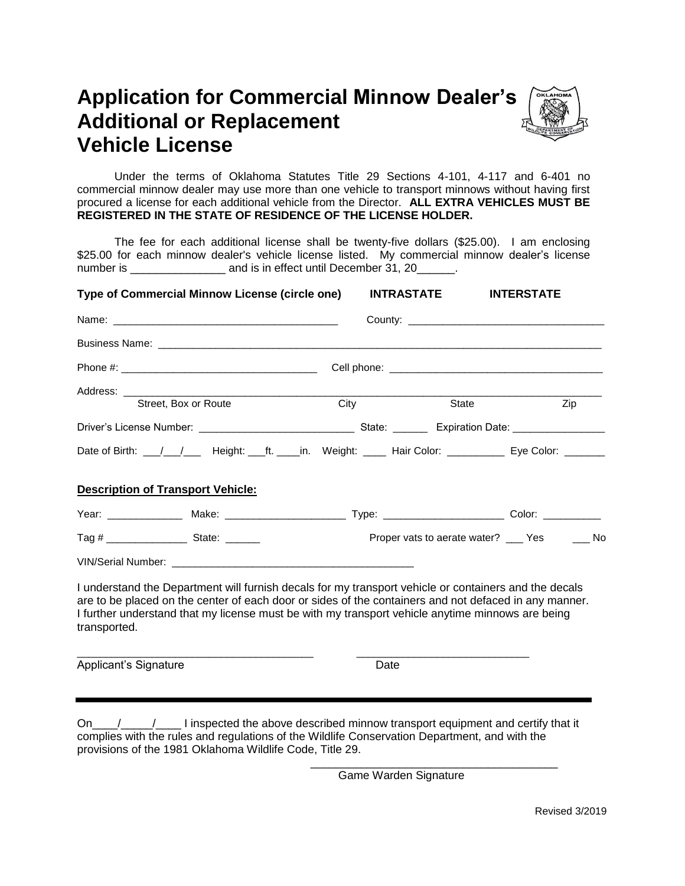## **Application for Commercial Minnow Dealer's Additional or Replacement Vehicle License**



Under the terms of Oklahoma Statutes Title 29 Sections 4-101, 4-117 and 6-401 no commercial minnow dealer may use more than one vehicle to transport minnows without having first procured a license for each additional vehicle from the Director. **ALL EXTRA VEHICLES MUST BE REGISTERED IN THE STATE OF RESIDENCE OF THE LICENSE HOLDER.** 

The fee for each additional license shall be twenty-five dollars (\$25.00). I am enclosing \$25.00 for each minnow dealer's vehicle license listed. My commercial minnow dealer's license number is \_\_\_\_\_\_\_\_\_\_\_\_\_\_\_\_\_\_\_\_ and is in effect until December 31, 20\_\_\_\_\_\_.

| Type of Commercial Minnow License (circle one)                                                                                                                                                                                                                                                                                                                                                                                 | <b>INTRASTATE</b> | <b>INTERSTATE</b>                                                                                                                                                                                                              |
|--------------------------------------------------------------------------------------------------------------------------------------------------------------------------------------------------------------------------------------------------------------------------------------------------------------------------------------------------------------------------------------------------------------------------------|-------------------|--------------------------------------------------------------------------------------------------------------------------------------------------------------------------------------------------------------------------------|
|                                                                                                                                                                                                                                                                                                                                                                                                                                |                   | County: County: County: County: County: County: County: County: County: County: County: County: County: County: County: County: County: County: County: County: County: County: County: County: County: County: County: County |
|                                                                                                                                                                                                                                                                                                                                                                                                                                |                   |                                                                                                                                                                                                                                |
|                                                                                                                                                                                                                                                                                                                                                                                                                                |                   |                                                                                                                                                                                                                                |
| Street, Box or Route                                                                                                                                                                                                                                                                                                                                                                                                           | $\overline{City}$ | State<br>Zip                                                                                                                                                                                                                   |
|                                                                                                                                                                                                                                                                                                                                                                                                                                |                   |                                                                                                                                                                                                                                |
| Date of Birth: \___/\___/\____ Height: \____ft. \____in. Weight: \_____ Hair Color: \____________ Eye Color: \________                                                                                                                                                                                                                                                                                                         |                   |                                                                                                                                                                                                                                |
| <b>Description of Transport Vehicle:</b>                                                                                                                                                                                                                                                                                                                                                                                       |                   |                                                                                                                                                                                                                                |
|                                                                                                                                                                                                                                                                                                                                                                                                                                |                   |                                                                                                                                                                                                                                |
|                                                                                                                                                                                                                                                                                                                                                                                                                                |                   | Proper vats to aerate water? ___ Yes _____ No                                                                                                                                                                                  |
|                                                                                                                                                                                                                                                                                                                                                                                                                                |                   |                                                                                                                                                                                                                                |
| I understand the Department will furnish decals for my transport vehicle or containers and the decals<br>are to be placed on the center of each door or sides of the containers and not defaced in any manner.<br>I further understand that my license must be with my transport vehicle anytime minnows are being<br>transported.                                                                                             |                   |                                                                                                                                                                                                                                |
| Applicant's Signature                                                                                                                                                                                                                                                                                                                                                                                                          | Date              |                                                                                                                                                                                                                                |
|                                                                                                                                                                                                                                                                                                                                                                                                                                |                   |                                                                                                                                                                                                                                |
| On $\frac{1}{\sqrt{1-\frac{1}{\sqrt{1-\frac{1}{\sqrt{1-\frac{1}{\sqrt{1-\frac{1}{\sqrt{1-\frac{1}{\sqrt{1-\frac{1}{\sqrt{1-\frac{1}{\sqrt{1-\frac{1}{\sqrt{1-\frac{1}{\sqrt{1-\frac{1}{\sqrt{1-\frac{1}{\sqrt{1-\frac{1}{\sqrt{1-\frac{1}{\sqrt{1-\frac{1}{\sqrt{1-\frac{1}{\sqrt{1-\frac{1}{\sqrt{1-\frac{1}{\sqrt{1-\frac{1}{\sqrt{1-\frac{1}{\sqrt{1-\frac{1}{\sqrt{1-\frac{1}{\sqrt{1-\frac{1}{\sqrt{1-\frac{1}{\sqrt{1-\$ |                   |                                                                                                                                                                                                                                |

complies with the rules and regulations of the Wildlife Conservation Department, and with the

provisions of the 1981 Oklahoma Wildlife Code, Title 29.

Game Warden Signature

\_\_\_\_\_\_\_\_\_\_\_\_\_\_\_\_\_\_\_\_\_\_\_\_\_\_\_\_\_\_\_\_\_\_\_\_\_\_\_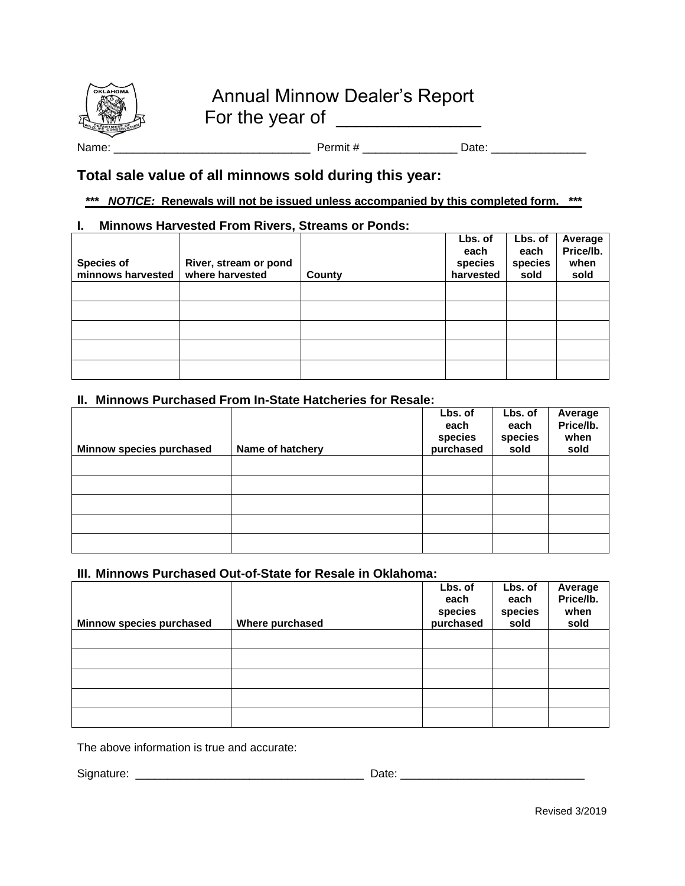

Name: \_\_\_\_\_\_\_\_\_\_\_\_\_\_\_\_\_\_\_\_\_\_\_\_\_\_\_\_\_\_\_ Permit # \_\_\_\_\_\_\_\_\_\_\_\_\_\_\_ Date: \_\_\_\_\_\_\_\_\_\_\_\_\_\_\_

### **Total sale value of all minnows sold during this year:**

#### *\*\*\* NOTICE:* **Renewals will not be issued unless accompanied by this completed form. \*\*\***

#### **I. Minnows Harvested From Rivers, Streams or Ponds:**

| <b>Species of</b><br>minnows harvested | River, stream or pond<br>where harvested | County | Lbs. of<br>each<br>species<br>harvested | Lbs. of<br>each<br>species<br>sold | Average<br>Price/lb.<br>when<br>sold |
|----------------------------------------|------------------------------------------|--------|-----------------------------------------|------------------------------------|--------------------------------------|
|                                        |                                          |        |                                         |                                    |                                      |
|                                        |                                          |        |                                         |                                    |                                      |
|                                        |                                          |        |                                         |                                    |                                      |
|                                        |                                          |        |                                         |                                    |                                      |
|                                        |                                          |        |                                         |                                    |                                      |

#### **II. Minnows Purchased From In-State Hatcheries for Resale:**

| Minnow species purchased | Name of hatchery | Lbs. of<br>each<br>species<br>purchased | Lbs. of<br>each<br>species<br>sold | Average<br>Price/lb.<br>when<br>sold |
|--------------------------|------------------|-----------------------------------------|------------------------------------|--------------------------------------|
|                          |                  |                                         |                                    |                                      |
|                          |                  |                                         |                                    |                                      |
|                          |                  |                                         |                                    |                                      |
|                          |                  |                                         |                                    |                                      |
|                          |                  |                                         |                                    |                                      |

#### **III. Minnows Purchased Out-of-State for Resale in Oklahoma:**

| Minnow species purchased | Where purchased | Lbs. of<br>each<br>species<br>purchased | Lbs. of<br>each<br>species<br>sold | Average<br>Price/lb.<br>when<br>sold |
|--------------------------|-----------------|-----------------------------------------|------------------------------------|--------------------------------------|
|                          |                 |                                         |                                    |                                      |
|                          |                 |                                         |                                    |                                      |
|                          |                 |                                         |                                    |                                      |
|                          |                 |                                         |                                    |                                      |
|                          |                 |                                         |                                    |                                      |

The above information is true and accurate:

Signature: \_\_\_\_\_\_\_\_\_\_\_\_\_\_\_\_\_\_\_\_\_\_\_\_\_\_\_\_\_\_\_\_\_\_\_\_ Date: \_\_\_\_\_\_\_\_\_\_\_\_\_\_\_\_\_\_\_\_\_\_\_\_\_\_\_\_\_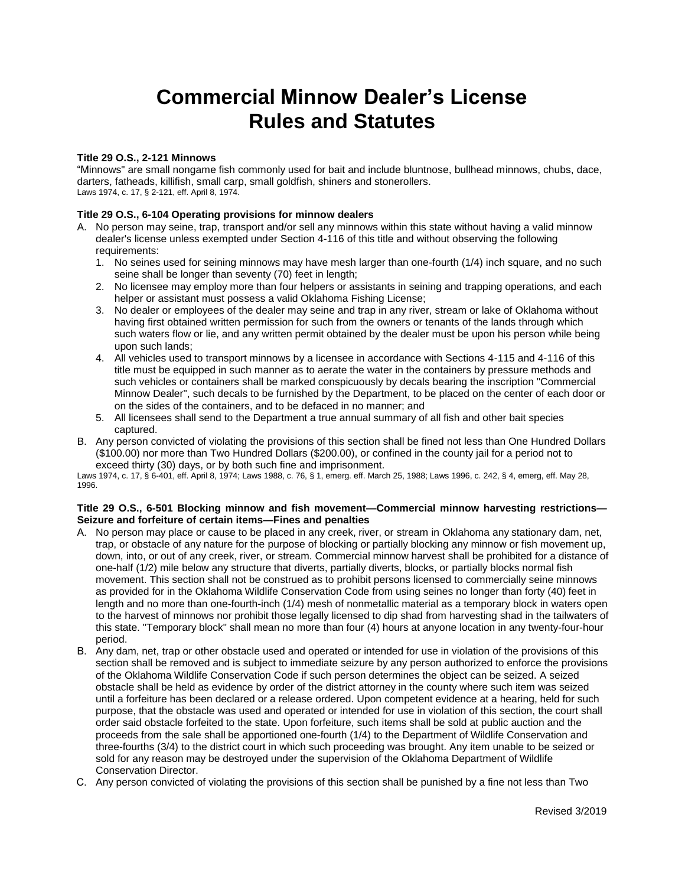# **Commercial Minnow Dealer's License Rules and Statutes**

#### **Title 29 O.S., 2-121 Minnows**

"Minnows" are small nongame fish commonly used for bait and include bluntnose, bullhead minnows, chubs, dace, darters, fatheads, killifish, small carp, small goldfish, shiners and stonerollers. Laws 1974, c. 17, § 2-121, eff. April 8, 1974.

#### **Title 29 O.S., 6-104 Operating provisions for minnow dealers**

- A. No person may seine, trap, transport and/or sell any minnows within this state without having a valid minnow dealer's license unless exempted under Section 4-116 of this title and without observing the following requirements:
	- 1. No seines used for seining minnows may have mesh larger than one-fourth (1/4) inch square, and no such seine shall be longer than seventy (70) feet in length;
	- 2. No licensee may employ more than four helpers or assistants in seining and trapping operations, and each helper or assistant must possess a valid Oklahoma Fishing License;
	- 3. No dealer or employees of the dealer may seine and trap in any river, stream or lake of Oklahoma without having first obtained written permission for such from the owners or tenants of the lands through which such waters flow or lie, and any written permit obtained by the dealer must be upon his person while being upon such lands;
	- 4. All vehicles used to transport minnows by a licensee in accordance with Sections 4-115 and 4-116 of this title must be equipped in such manner as to aerate the water in the containers by pressure methods and such vehicles or containers shall be marked conspicuously by decals bearing the inscription "Commercial Minnow Dealer", such decals to be furnished by the Department, to be placed on the center of each door or on the sides of the containers, and to be defaced in no manner; and
	- 5. All licensees shall send to the Department a true annual summary of all fish and other bait species captured.
- B. Any person convicted of violating the provisions of this section shall be fined not less than One Hundred Dollars (\$100.00) nor more than Two Hundred Dollars (\$200.00), or confined in the county jail for a period not to exceed thirty (30) days, or by both such fine and imprisonment.

Laws 1974, c. 17, § 6-401, eff. April 8, 1974; Laws 1988, c. 76, § 1, emerg. eff. March 25, 1988; Laws 1996, c. 242, § 4, emerg, eff. May 28, 1996.

#### Title 29 O.S., 6-501 Blocking minnow and fish movement—Commercial minnow harvesting restrictions— **Seizure and forfeiture of certain items-Fines and penalties**

- A. No person may place or cause to be placed in any creek, river, or stream in Oklahoma any stationary dam, net, trap, or obstacle of any nature for the purpose of blocking or partially blocking any minnow or fish movement up, down, into, or out of any creek, river, or stream. Commercial minnow harvest shall be prohibited for a distance of one-half (1/2) mile below any structure that diverts, partially diverts, blocks, or partially blocks normal fish movement. This section shall not be construed as to prohibit persons licensed to commercially seine minnows as provided for in the Oklahoma Wildlife Conservation Code from using seines no longer than forty (40) feet in length and no more than one-fourth-inch (1/4) mesh of nonmetallic material as a temporary block in waters open to the harvest of minnows nor prohibit those legally licensed to dip shad from harvesting shad in the tailwaters of this state. "Temporary block" shall mean no more than four (4) hours at anyone location in any twenty-four-hour period.
- B. Any dam, net, trap or other obstacle used and operated or intended for use in violation of the provisions of this section shall be removed and is subject to immediate seizure by any person authorized to enforce the provisions of the Oklahoma Wildlife Conservation Code if such person determines the object can be seized. A seized obstacle shall be held as evidence by order of the district attorney in the county where such item was seized until a forfeiture has been declared or a release ordered. Upon competent evidence at a hearing, held for such purpose, that the obstacle was used and operated or intended for use in violation of this section, the court shall order said obstacle forfeited to the state. Upon forfeiture, such items shall be sold at public auction and the proceeds from the sale shall be apportioned one-fourth (1/4) to the Department of Wildlife Conservation and three-fourths (3/4) to the district court in which such proceeding was brought. Any item unable to be seized or sold for any reason may be destroyed under the supervision of the Oklahoma Department of Wildlife Conservation Director.
- C. Any person convicted of violating the provisions of this section shall be punished by a fine not less than Two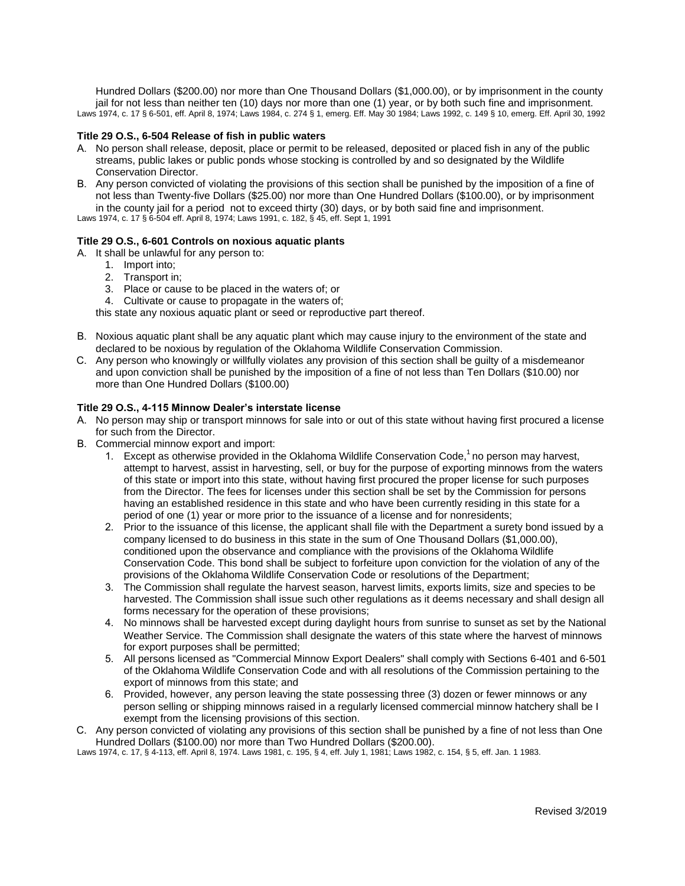Hundred Dollars (\$200.00) nor more than One Thousand Dollars (\$1,000.00), or by imprisonment in the county jail for not less than neither ten (10) days nor more than one (1) year, or by both such fine and imprisonment. Laws 1974, c. 17 § 6-501, eff. April 8, 1974; Laws 1984, c. 274 § 1, emerg. Eff. May 30 1984; Laws 1992, c. 149 § 10, emerg. Eff. April 30, 1992

#### **Title 29 O.S., 6-504 Release of fish in public waters**

- A. No person shall release, deposit, place or permit to be released, deposited or placed fish in any of the public streams, public lakes or public ponds whose stocking is controlled by and so designated by the Wildlife Conservation Director.
- B. Any person convicted of violating the provisions of this section shall be punished by the imposition of a fine of not less than Twenty-five Dollars (\$25.00) nor more than One Hundred Dollars (\$100.00), or by imprisonment in the county jail for a period not to exceed thirty (30) days, or by both said fine and imprisonment.

Laws 1974, c. 17 § 6-504 eff. April 8, 1974; Laws 1991, c. 182, § 45, eff. Sept 1, 1991

#### **Title 29 O.S., 6-601 Controls on noxious aquatic plants**

- A. It shall be unlawful for any person to:
	- 1. Import into;
		- 2. Transport in;
		- 3. Place or cause to be placed in the waters of; or
		- 4. Cultivate or cause to propagate in the waters of;

this state any noxious aquatic plant or seed or reproductive part thereof.

- B. Noxious aquatic plant shall be any aquatic plant which may cause injury to the environment of the state and declared to be noxious by regulation of the Oklahoma Wildlife Conservation Commission.
- C. Any person who knowingly or willfully violates any provision of this section shall be guilty of a misdemeanor and upon conviction shall be punished by the imposition of a fine of not less than Ten Dollars (\$10.00) nor more than One Hundred Dollars (\$100.00)

#### Title 29 O.S., 4-115 Minnow Dealer's interstate license

- A. No person may ship or transport minnows for sale into or out of this state without having first procured a license for such from the Director.
- B. Commercial minnow export and import:
	- 1. Except as otherwise provided in the Oklahoma Wildlife Conservation Code, $1$  no person may harvest, attempt to harvest, assist in harvesting, sell, or buy for the purpose of exporting minnows from the waters of this state or import into this state, without having first procured the proper license for such purposes from the Director. The fees for licenses under this section shall be set by the Commission for persons having an established residence in this state and who have been currently residing in this state for a period of one (1) year or more prior to the issuance of a license and for nonresidents;
	- 2. Prior to the issuance of this license, the applicant shall file with the Department a surety bond issued by a company licensed to do business in this state in the sum of One Thousand Dollars (\$1,000.00), conditioned upon the observance and compliance with the provisions of the Oklahoma Wildlife Conservation Code. This bond shall be subject to forfeiture upon conviction for the violation of any of the provisions of the Oklahoma Wildlife Conservation Code or resolutions of the Department;
	- 3. The Commission shall regulate the harvest season, harvest limits, exports limits, size and species to be harvested. The Commission shall issue such other regulations as it deems necessary and shall design all forms necessary for the operation of these provisions;
	- 4. No minnows shall be harvested except during daylight hours from sunrise to sunset as set by the National Weather Service. The Commission shall designate the waters of this state where the harvest of minnows for export purposes shall be permitted;
	- 5. All persons licensed as "Commercial Minnow Export Dealers" shall comply with Sections 6-401 and 6-501 of the Oklahoma Wildlife Conservation Code and with all resolutions of the Commission pertaining to the export of minnows from this state; and
	- 6. Provided, however, any person leaving the state possessing three (3) dozen or fewer minnows or any person selling or shipping minnows raised in a regularly licensed commercial minnow hatchery shall be I exempt from the licensing provisions of this section.
- C. Any person convicted of violating any provisions of this section shall be punished by a fine of not less than One Hundred Dollars (\$100.00) nor more than Two Hundred Dollars (\$200.00).

Laws 1974, c. 17, § 4-113, eff. April 8, 1974. Laws 1981, c. 195, § 4, eff. July 1, 1981; Laws 1982, c. 154, § 5, eff. Jan. 1 1983.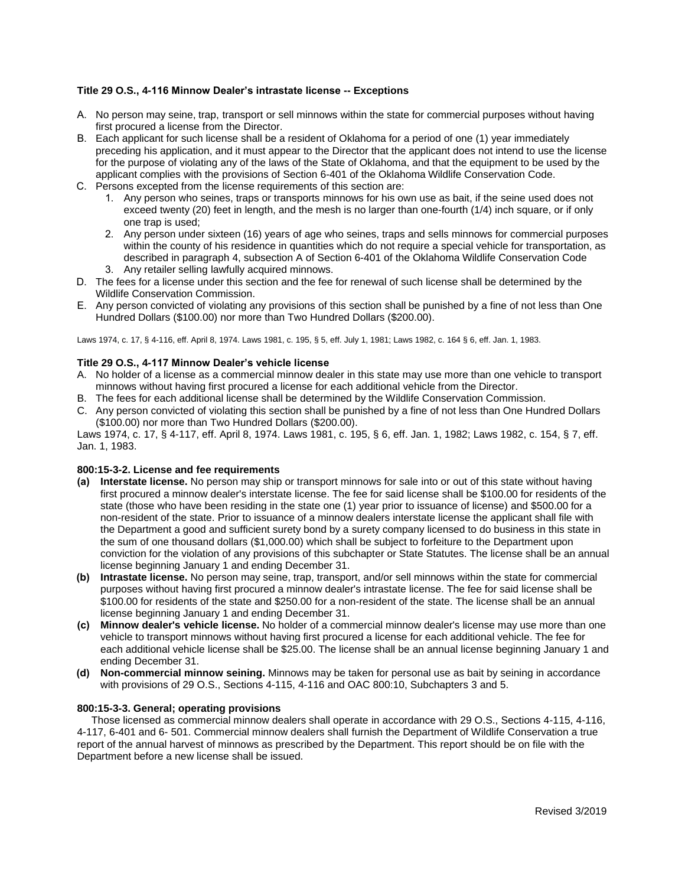#### **Title 29 O.S., 4-116 Minnow Dealer's intrastate license -- Exceptions**

- A. No person may seine, trap, transport or sell minnows within the state for commercial purposes without having first procured a license from the Director.
- B. Each applicant for such license shall be a resident of Oklahoma for a period of one (1) year immediately preceding his application, and it must appear to the Director that the applicant does not intend to use the license for the purpose of violating any of the laws of the State of Oklahoma, and that the equipment to be used by the applicant complies with the provisions of Section 6-401 of the Oklahoma Wildlife Conservation Code.
- C. Persons excepted from the license requirements of this section are:
	- 1. Any person who seines, traps or transports minnows for his own use as bait, if the seine used does not exceed twenty (20) feet in length, and the mesh is no larger than one-fourth (1/4) inch square, or if only one trap is used;
	- 2. Any person under sixteen (16) years of age who seines, traps and sells minnows for commercial purposes within the county of his residence in quantities which do not require a special vehicle for transportation, as described in paragraph 4, subsection A of Section 6-401 of the Oklahoma Wildlife Conservation Code
	- 3. Any retailer selling lawfully acquired minnows.
- D. The fees for a license under this section and the fee for renewal of such license shall be determined by the Wildlife Conservation Commission.
- E. Any person convicted of violating any provisions of this section shall be punished by a fine of not less than One Hundred Dollars (\$100.00) nor more than Two Hundred Dollars (\$200.00).

Laws 1974, c. 17, § 4-116, eff. April 8, 1974. Laws 1981, c. 195, § 5, eff. July 1, 1981; Laws 1982, c. 164 § 6, eff. Jan. 1, 1983.

#### Title 29 O.S., 4-117 Minnow Dealer's vehicle license

- A. No holder of a license as a commercial minnow dealer in this state may use more than one vehicle to transport minnows without having first procured a license for each additional vehicle from the Director.
- B. The fees for each additional license shall be determined by the Wildlife Conservation Commission.
- C. Any person convicted of violating this section shall be punished by a fine of not less than One Hundred Dollars (\$100.00) nor more than Two Hundred Dollars (\$200.00).

Laws 1974, c. 17, § 4-117, eff. April 8, 1974. Laws 1981, c. 195, § 6, eff. Jan. 1, 1982; Laws 1982, c. 154, § 7, eff. Jan. 1, 1983.

#### **800:15-3-2. License and fee requirements**

- **(a) Interstate license.** No person may ship or transport minnows for sale into or out of this state without having first procured a minnow dealer's interstate license. The fee for said license shall be \$100.00 for residents of the state (those who have been residing in the state one (1) year prior to issuance of license) and \$500.00 for a non-resident of the state. Prior to issuance of a minnow dealers interstate license the applicant shall file with the Department a good and sufficient surety bond by a surety company licensed to do business in this state in the sum of one thousand dollars (\$1,000.00) which shall be subject to forfeiture to the Department upon conviction for the violation of any provisions of this subchapter or State Statutes. The license shall be an annual license beginning January 1 and ending December 31.
- **(b) Intrastate license.** No person may seine, trap, transport, and/or sell minnows within the state for commercial purposes without having first procured a minnow dealer's intrastate license. The fee for said license shall be \$100.00 for residents of the state and \$250.00 for a non-resident of the state. The license shall be an annual license beginning January 1 and ending December 31.
- **(c) Minnow dealer's vehicle license.** No holder of a commercial minnow dealer's license may use more than one vehicle to transport minnows without having first procured a license for each additional vehicle. The fee for each additional vehicle license shall be \$25.00. The license shall be an annual license beginning January 1 and ending December 31.
- **(d) Non-commercial minnow seining.** Minnows may be taken for personal use as bait by seining in accordance with provisions of 29 O.S., Sections 4-115, 4-116 and OAC 800:10, Subchapters 3 and 5.

#### **800:15-3-3. General; operating provisions**

 Those licensed as commercial minnow dealers shall operate in accordance with 29 O.S., Sections 4-115, 4-116, 4-117, 6-401 and 6- 501. Commercial minnow dealers shall furnish the Department of Wildlife Conservation a true report of the annual harvest of minnows as prescribed by the Department. This report should be on file with the Department before a new license shall be issued.